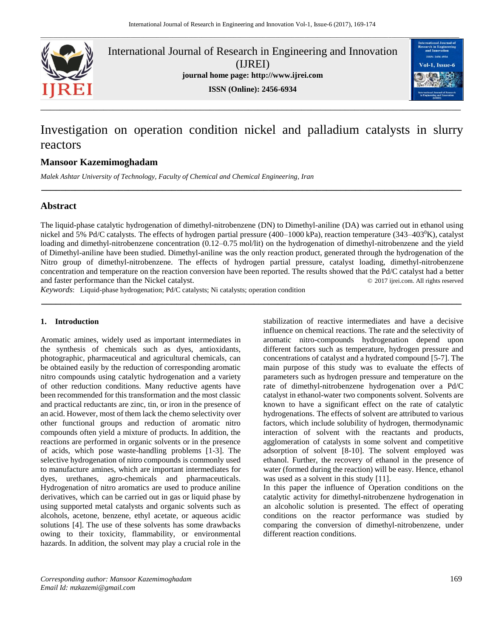

International Journal of Research in Engineering and Innovation (IJREI) **journal home page: [http://www.ijrei.com](http://www.ijrei.com/)**





# Investigation on operation condition nickel and palladium catalysts in slurry reactors

*\_\_\_\_\_\_\_\_\_\_\_\_\_\_\_\_\_\_\_\_\_\_\_\_\_\_\_\_\_\_\_\_\_\_\_\_\_\_\_\_\_\_\_\_\_\_\_\_\_\_\_\_\_\_\_\_\_\_\_\_\_\_\_\_\_\_\_\_\_\_\_\_\_\_\_\_\_\_\_\_\_\_\_\_\_\_\_*

# **Mansoor Kazemimoghadam**

*Malek Ashtar University of Technology, Faculty of Chemical and Chemical Engineering, Iran*

# **Abstract**

The liquid-phase catalytic hydrogenation of dimethyl-nitrobenzene (DN) to Dimethyl-aniline (DA) was carried out in ethanol using nickel and 5% Pd/C catalysts. The effects of hydrogen partial pressure (400–1000 kPa), reaction temperature (343–403 $\rm{^9K}$ ), catalyst loading and dimethyl-nitrobenzene concentration (0.12–0.75 mol/lit) on the hydrogenation of dimethyl-nitrobenzene and the yield of Dimethyl-aniline have been studied. Dimethyl-aniline was the only reaction product, generated through the hydrogenation of the Nitro group of dimethyl-nitrobenzene. The effects of hydrogen partial pressure, catalyst loading, dimethyl-nitrobenzene concentration and temperature on the reaction conversion have been reported. The results showed that the Pd/C catalyst had a better and faster performance than the Nickel catalyst.  $\oslash$  2017 ijrei.com. All rights reserved

**\_\_\_\_\_\_\_\_\_\_\_\_\_\_\_\_\_\_\_\_\_\_\_\_\_\_\_\_\_\_\_\_\_\_\_\_\_\_\_\_\_\_\_\_\_\_\_\_\_\_\_\_\_\_\_\_\_\_\_\_\_\_\_\_\_\_\_\_\_\_\_\_\_\_\_\_\_\_\_\_\_\_\_\_\_\_\_**

*Keywords*: Liquid-phase hydrogenation; Pd/C catalysts; Ni catalysts; operation condition

## **1. Introduction**

Aromatic amines, widely used as important intermediates in the synthesis of chemicals such as dyes, antioxidants, photographic, pharmaceutical and agricultural chemicals, can be obtained easily by the reduction of corresponding aromatic nitro compounds using catalytic hydrogenation and a variety of other reduction conditions. Many reductive agents have been recommended for this transformation and the most classic and practical reductants are zinc, tin, or iron in the presence of an acid. However, most of them lack the chemo selectivity over other functional groups and reduction of aromatic nitro compounds often yield a mixture of products. In addition, the reactions are performed in organic solvents or in the presence of acids, which pose waste-handling problems [1-3]. The selective hydrogenation of nitro compounds is commonly used to manufacture amines, which are important intermediates for dyes, urethanes, agro-chemicals and pharmaceuticals. Hydrogenation of nitro aromatics are used to produce aniline derivatives, which can be carried out in gas or liquid phase by using supported metal catalysts and organic solvents such as alcohols, acetone, benzene, ethyl acetate, or aqueous acidic solutions [4]. The use of these solvents has some drawbacks owing to their toxicity, flammability, or environmental hazards. In addition, the solvent may play a crucial role in the stabilization of reactive intermediates and have a decisive influence on chemical reactions. The rate and the selectivity of aromatic nitro-compounds hydrogenation depend upon different factors such as temperature, hydrogen pressure and concentrations of catalyst and a hydrated compound [5-7]. The main purpose of this study was to evaluate the effects of parameters such as hydrogen pressure and temperature on the rate of dimethyl-nitrobenzene hydrogenation over a Pd/C catalyst in ethanol-water two components solvent. Solvents are known to have a significant effect on the rate of catalytic hydrogenations. The effects of solvent are attributed to various factors, which include solubility of hydrogen, thermodynamic interaction of solvent with the reactants and products, agglomeration of catalysts in some solvent and competitive adsorption of solvent [8-10]. The solvent employed was ethanol. Further, the recovery of ethanol in the presence of water (formed during the reaction) will be easy. Hence, ethanol was used as a solvent in this study [11].

In this paper the influence of Operation conditions on the catalytic activity for dimethyl-nitrobenzene hydrogenation in an alcoholic solution is presented. The effect of operating conditions on the reactor performance was studied by comparing the conversion of dimethyl-nitrobenzene, under different reaction conditions.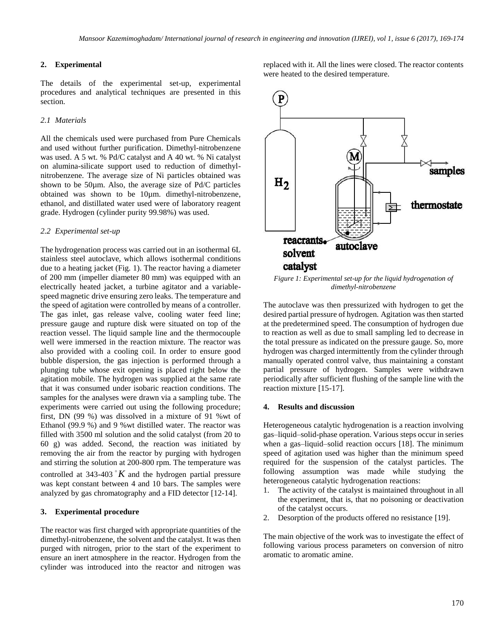# **2. Experimental**

The details of the experimental set-up, experimental procedures and analytical techniques are presented in this section.

# *2.1 Materials*

All the chemicals used were purchased from Pure Chemicals and used without further purification. Dimethyl-nitrobenzene was used. A 5 wt. % Pd/C catalyst and A 40 wt. % Ni catalyst on alumina-silicate support used to reduction of dimethylnitrobenzene. The average size of Ni particles obtained was shown to be 50µm. Also, the average size of Pd/C particles obtained was shown to be 10µm. dimethyl-nitrobenzene, ethanol, and distillated water used were of laboratory reagent grade. Hydrogen (cylinder purity 99.98%) was used.

#### *2.2 Experimental set-up*

The hydrogenation process was carried out in an isothermal 6L stainless steel autoclave, which allows isothermal conditions due to a heating jacket (Fig. 1). The reactor having a diameter of 200 mm (impeller diameter 80 mm) was equipped with an electrically heated jacket, a turbine agitator and a variablespeed magnetic drive ensuring zero leaks. The temperature and the speed of agitation were controlled by means of a controller. The gas inlet, gas release valve, cooling water feed line; pressure gauge and rupture disk were situated on top of the reaction vessel. The liquid sample line and the thermocouple well were immersed in the reaction mixture. The reactor was also provided with a cooling coil. In order to ensure good bubble dispersion, the gas injection is performed through a plunging tube whose exit opening is placed right below the agitation mobile. The hydrogen was supplied at the same rate that it was consumed under isobaric reaction conditions. The samples for the analyses were drawn via a sampling tube. The experiments were carried out using the following procedure; first, DN (99 %) was dissolved in a mixture of 91 %wt of Ethanol (99.9 %) and 9 %wt distilled water. The reactor was filled with 3500 ml solution and the solid catalyst (from 20 to 60 g) was added. Second, the reaction was initiated by removing the air from the reactor by purging with hydrogen and stirring the solution at 200-800 rpm. The temperature was controlled at 343-403  $K$  and the hydrogen partial pressure was kept constant between 4 and 10 bars. The samples were analyzed by gas chromatography and a FID detector [12-14].

#### **3. Experimental procedure**

The reactor was first charged with appropriate quantities of the dimethyl-nitrobenzene, the solvent and the catalyst. It was then purged with nitrogen, prior to the start of the experiment to ensure an inert atmosphere in the reactor. Hydrogen from the cylinder was introduced into the reactor and nitrogen was replaced with it. All the lines were closed. The reactor contents were heated to the desired temperature.



*Figure 1: Experimental set-up for the liquid hydrogenation of dimethyl-nitrobenzene*

The autoclave was then pressurized with hydrogen to get the desired partial pressure of hydrogen. Agitation was then started at the predetermined speed. The consumption of hydrogen due to reaction as well as due to small sampling led to decrease in the total pressure as indicated on the pressure gauge. So, more hydrogen was charged intermittently from the cylinder through manually operated control valve, thus maintaining a constant partial pressure of hydrogen. Samples were withdrawn periodically after sufficient flushing of the sample line with the reaction mixture [15-17].

#### **4. Results and discussion**

Heterogeneous catalytic hydrogenation is a reaction involving gas–liquid–solid-phase operation. Various steps occur in series when a gas–liquid–solid reaction occurs [18]. The minimum speed of agitation used was higher than the minimum speed required for the suspension of the catalyst particles. The following assumption was made while studying the heterogeneous catalytic hydrogenation reactions:

- 1. The activity of the catalyst is maintained throughout in all the experiment, that is, that no poisoning or deactivation of the catalyst occurs.
- 2. Desorption of the products offered no resistance [19].

The main objective of the work was to investigate the effect of following various process parameters on conversion of nitro aromatic to aromatic amine.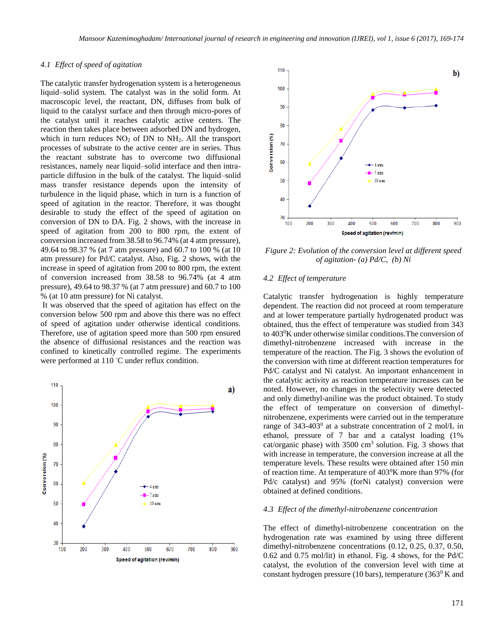## *4.1 Effect of speed of agitation*

The catalytic transfer hydrogenation system is a heterogeneous liquid–solid system. The catalyst was in the solid form. At macroscopic level, the reactant, DN, diffuses from bulk of liquid to the catalyst surface and then through micro-pores of the catalyst until it reaches catalytic active centers. The reaction then takes place between adsorbed DN and hydrogen, which in turn reduces  $NO<sub>2</sub>$  of DN to  $NH<sub>2</sub>$ . All the transport processes of substrate to the active center are in series. Thus the reactant substrate has to overcome two diffusional resistances, namely near liquid–solid interface and then intraparticle diffusion in the bulk of the catalyst. The liquid–solid mass transfer resistance depends upon the intensity of turbulence in the liquid phase, which in turn is a function of speed of agitation in the reactor. Therefore, it was thought desirable to study the effect of the speed of agitation on conversion of DN to DA. Fig. 2 shows, with the increase in speed of agitation from 200 to 800 rpm, the extent of conversion increased from 38.58 to 96.74% (at 4 atm pressure), 49.64 to 98.37 % (at 7 atm pressure) and 60.7 to 100 % (at 10 atm pressure) for Pd/C catalyst. Also, Fig. 2 shows, with the increase in speed of agitation from 200 to 800 rpm, the extent of conversion increased from 38.58 to 96.74% (at 4 atm pressure), 49.64 to 98.37 % (at 7 atm pressure) and 60.7 to 100 % (at 10 atm pressure) for Ni catalyst.

It was observed that the speed of agitation has effect on the conversion below 500 rpm and above this there was no effect of speed of agitation under otherwise identical conditions. Therefore, use of agitation speed more than 500 rpm ensured the absence of diffusional resistances and the reaction was confined to kinetically controlled regime. The experiments were performed at 110 ◦C under reflux condition.





*Figure 2: Evolution of the conversion level at different speed of agitation- (a) Pd/C, (b) Ni*

#### *4.2 Effect of temperature*

Catalytic transfer hydrogenation is highly temperature dependent. The reaction did not proceed at room temperature and at lower temperature partially hydrogenated product was obtained, thus the effect of temperature was studied from 343 to 403<sup>0</sup>K under otherwise similar conditions.The conversion of dimethyl-nitrobenzene increased with increase in the temperature of the reaction. The Fig. 3 shows the evolution of the conversion with time at different reaction temperatures for Pd/C catalyst and Ni catalyst. An important enhancement in the catalytic activity as reaction temperature increases can be noted. However, no changes in the selectivity were detected and only dimethyl-aniline was the product obtained. To study the effect of temperature on conversion of dimethylnitrobenzene, experiments were carried out in the temperature range of 343-403<sup>0</sup> at a substrate concentration of 2 mol/L in ethanol, pressure of 7 bar and a catalyst loading (1% cat/organic phase) with  $3500 \text{ cm}^3$  solution. Fig. 3 shows that with increase in temperature, the conversion increase at all the temperature levels. These results were obtained after 150 min of reaction time. At temperature of  $403\text{°K}$  more than 97% (for Pd/c catalyst) and 95% (forNi catalyst) conversion were obtained at defined conditions.

#### *4.3 Effect of the dimethyl-nitrobenzene concentration*

The effect of dimethyl-nitrobenzene concentration on the hydrogenation rate was examined by using three different dimethyl-nitrobenzene concentrations (0.12, 0.25, 0.37, 0.50, 0.62 and 0.75 mol/lit) in ethanol. Fig. 4 shows, for the Pd/C catalyst, the evolution of the conversion level with time at constant hydrogen pressure (10 bars), temperature  $(363^{\circ} K \text{ and }$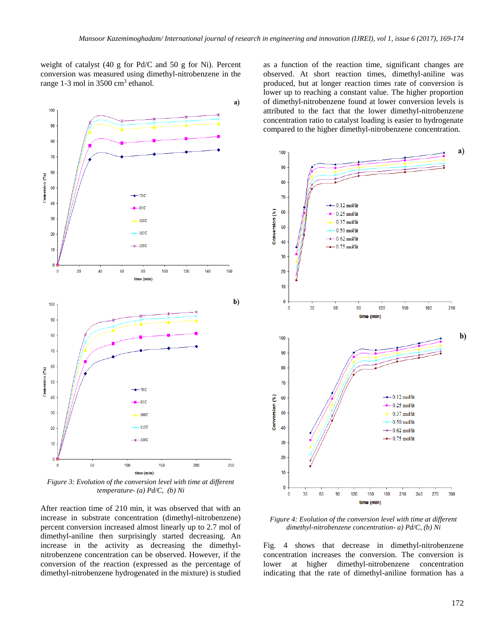weight of catalyst (40 g for Pd/C and 50 g for Ni). Percent conversion was measured using dimethyl-nitrobenzene in the range 1-3 mol in 3500 cm<sup>3</sup> ethanol.



*Figure 3: Evolution of the conversion level with time at different temperature- (a) Pd/C, (b) Ni*

After reaction time of 210 min, it was observed that with an increase in substrate concentration (dimethyl-nitrobenzene) percent conversion increased almost linearly up to 2.7 mol of dimethyl-aniline then surprisingly started decreasing. An increase in the activity as decreasing the dimethylnitrobenzene concentration can be observed. However, if the conversion of the reaction (expressed as the percentage of dimethyl-nitrobenzene hydrogenated in the mixture) is studied as a function of the reaction time, significant changes are observed. At short reaction times, dimethyl-aniline was produced, but at longer reaction times rate of conversion is lower up to reaching a constant value. The higher proportion of dimethyl-nitrobenzene found at lower conversion levels is attributed to the fact that the lower dimethyl-nitrobenzene concentration ratio to catalyst loading is easier to hydrogenate compared to the higher dimethyl-nitrobenzene concentration.



*Figure 4: Evolution of the conversion level with time at different dimethyl-nitrobenzene concentration- a) Pd/C, (b) Ni*

Fig. 4 shows that decrease in dimethyl-nitrobenzene concentration increases the conversion. The conversion is lower at higher dimethyl-nitrobenzene concentration indicating that the rate of dimethyl-aniline formation has a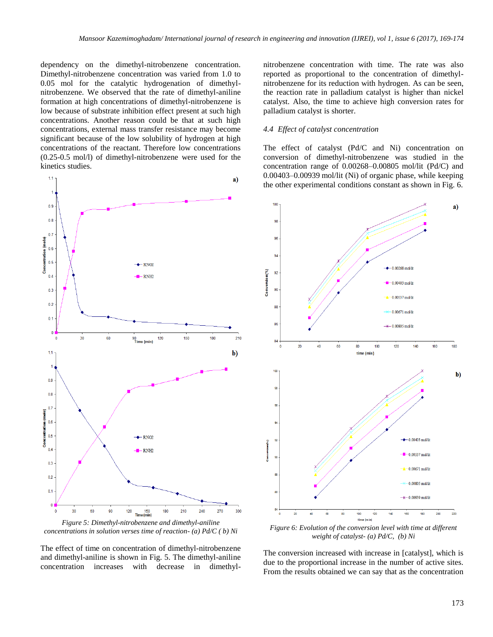dependency on the dimethyl-nitrobenzene concentration. Dimethyl-nitrobenzene concentration was varied from 1.0 to 0.05 mol for the catalytic hydrogenation of dimethylnitrobenzene. We observed that the rate of dimethyl-aniline formation at high concentrations of dimethyl-nitrobenzene is low because of substrate inhibition effect present at such high concentrations. Another reason could be that at such high concentrations, external mass transfer resistance may become significant because of the low solubility of hydrogen at high concentrations of the reactant. Therefore low concentrations (0.25-0.5 mol/l) of dimethyl-nitrobenzene were used for the kinetics studies.



*Figure 5: Dimethyl-nitrobenzene and dimethyl-aniline concentrations in solution verses time of reaction- (a) Pd/C ( b) Ni*

The effect of time on concentration of dimethyl-nitrobenzene and dimethyl-aniline is shown in Fig. 5. The dimethyl-aniline concentration increases with decrease in dimethylnitrobenzene concentration with time. The rate was also reported as proportional to the concentration of dimethylnitrobenzene for its reduction with hydrogen. As can be seen, the reaction rate in palladium catalyst is higher than nickel catalyst. Also, the time to achieve high conversion rates for palladium catalyst is shorter.

#### *4.4 Effect of catalyst concentration*

The effect of catalyst (Pd/C and Ni) concentration on conversion of dimethyl-nitrobenzene was studied in the concentration range of 0.00268–0.00805 mol/lit (Pd/C) and 0.00403–0.00939 mol/lit (Ni) of organic phase, while keeping the other experimental conditions constant as shown in Fig. 6.



*Figure 6: Evolution of the conversion level with time at different weight of catalyst- (a) Pd/C, (b) Ni*

The conversion increased with increase in [catalyst], which is due to the proportional increase in the number of active sites. From the results obtained we can say that as the concentration